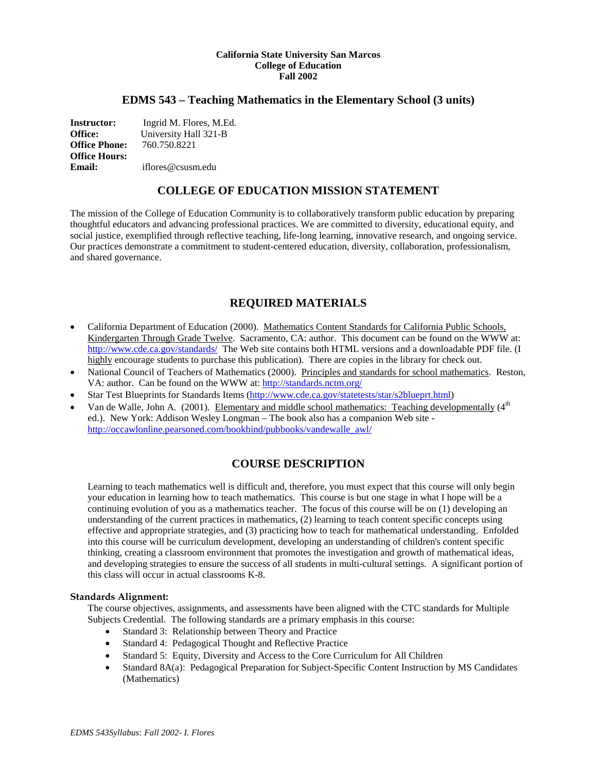### **California State University San Marcos College of Education Fall 2002**

### **EDMS 543 – Teaching Mathematics in the Elementary School (3 units)**

**Instructor:** Ingrid M. Flores, M.Ed. **Office:** University Hall 321-B<br>**Office Phone:** 760.750.8221 **Office Phone: Office Hours: Email:** iflores@csusm.edu

# **COLLEGE OF EDUCATION MISSION STATEMENT**

The mission of the College of Education Community is to collaboratively transform public education by preparing thoughtful educators and advancing professional practices. We are committed to diversity, educational equity, and social justice, exemplified through reflective teaching, life-long learning, innovative research, and ongoing service. Our practices demonstrate a commitment to student-centered education, diversity, collaboration, professionalism, and shared governance.

# **REQUIRED MATERIALS**

- California Department of Education (2000). Mathematics Content Standards for California Public Schools, Kindergarten Through Grade Twelve. Sacramento, CA: author. This document can be found on the WWW at: <http://www.cde.ca.gov/standards/>The Web site contains both HTML versions and a downloadable PDF file. (I highly encourage students to purchase this publication). There are copies in the library for check out.
- National Council of Teachers of Mathematics (2000). Principles and standards for school mathematics. Reston, VA: author. Can be found on the WWW at:<http://standards.nctm.org/>
- Star Test Blueprints for Standards Items [\(http://www.cde.ca.gov/statetests/star/s2blueprt.html\)](http://www.cde.ca.gov/statetests/star/s2blueprt.html)
- Van de Walle, John A. (2001). Elementary and middle school mathematics: Teaching developmentally  $(4<sup>th</sup>$ ed.). New York: Addison Wesley Longman – The book also has a companion Web site [http://occawlonline.pearsoned.com/bookbind/pubbooks/vandewalle\\_awl/](http://occawlonline.pearsoned.com/bookbind/pubbooks/vandewalle_awl/)

# **COURSE DESCRIPTION**

Learning to teach mathematics well is difficult and, therefore, you must expect that this course will only begin your education in learning how to teach mathematics. This course is but one stage in what I hope will be a continuing evolution of you as a mathematics teacher. The focus of this course will be on (1) developing an understanding of the current practices in mathematics, (2) learning to teach content specific concepts using effective and appropriate strategies, and (3) practicing how to teach for mathematical understanding. Enfolded into this course will be curriculum development, developing an understanding of children's content specific thinking, creating a classroom environment that promotes the investigation and growth of mathematical ideas, and developing strategies to ensure the success of all students in multi-cultural settings. A significant portion of this class will occur in actual classrooms K-8.

### **Standards Alignment:**

The course objectives, assignments, and assessments have been aligned with the CTC standards for Multiple Subjects Credential. The following standards are a primary emphasis in this course:

- Standard 3: Relationship between Theory and Practice
- Standard 4: Pedagogical Thought and Reflective Practice
- Standard 5: Equity, Diversity and Access to the Core Curriculum for All Children
- Standard 8A(a): Pedagogical Preparation for Subject-Specific Content Instruction by MS Candidates (Mathematics)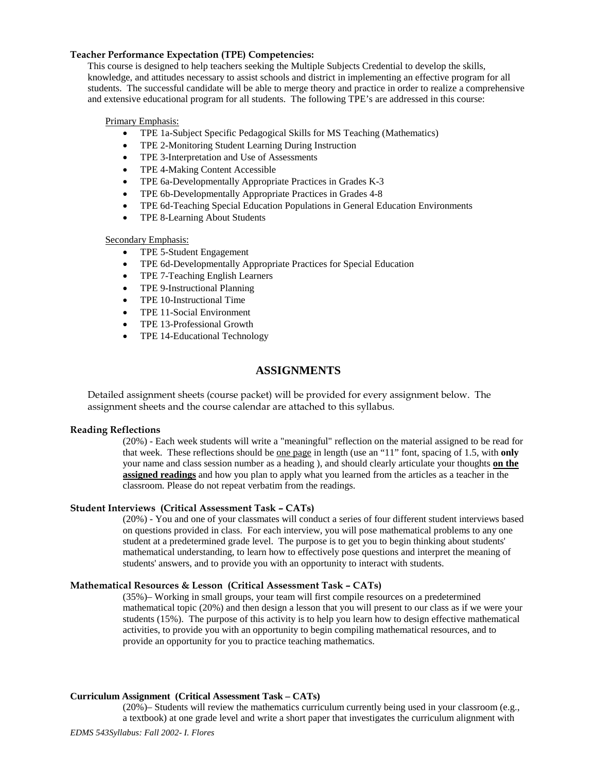### **Teacher Performance Expectation (TPE) Competencies:**

This course is designed to help teachers seeking the Multiple Subjects Credential to develop the skills, knowledge, and attitudes necessary to assist schools and district in implementing an effective program for all students. The successful candidate will be able to merge theory and practice in order to realize a comprehensive and extensive educational program for all students. The following TPE's are addressed in this course:

### Primary Emphasis:

- TPE 1a-Subject Specific Pedagogical Skills for MS Teaching (Mathematics)
- TPE 2-Monitoring Student Learning During Instruction
- TPE 3-Interpretation and Use of Assessments
- TPE 4-Making Content Accessible
- TPE 6a-Developmentally Appropriate Practices in Grades K-3
- TPE 6b-Developmentally Appropriate Practices in Grades 4-8
- TPE 6d-Teaching Special Education Populations in General Education Environments
- TPE 8-Learning About Students

### Secondary Emphasis:

- TPE 5-Student Engagement
- TPE 6d-Developmentally Appropriate Practices for Special Education
- TPE 7-Teaching English Learners
- TPE 9-Instructional Planning
- TPE 10-Instructional Time
- TPE 11-Social Environment
- TPE 13-Professional Growth
- TPE 14-Educational Technology

# **ASSIGNMENTS**

Detailed assignment sheets (course packet) will be provided for every assignment below. The assignment sheets and the course calendar are attached to this syllabus.

### **Reading Reflections**

(20%) - Each week students will write a "meaningful" reflection on the material assigned to be read for that week. These reflections should be one page in length (use an "11" font, spacing of 1.5, with **only**  your name and class session number as a heading ), and should clearly articulate your thoughts **on the assigned readings** and how you plan to apply what you learned from the articles as a teacher in the classroom. Please do not repeat verbatim from the readings.

### **Student Interviews (Critical Assessment Task – CATs)**

(20%) - You and one of your classmates will conduct a series of four different student interviews based on questions provided in class. For each interview, you will pose mathematical problems to any one student at a predetermined grade level. The purpose is to get you to begin thinking about students' mathematical understanding, to learn how to effectively pose questions and interpret the meaning of students' answers, and to provide you with an opportunity to interact with students.

### **Mathematical Resources & Lesson (Critical Assessment Task – CATs)**

(35%)– Working in small groups, your team will first compile resources on a predetermined mathematical topic (20%) and then design a lesson that you will present to our class as if we were your students (15%). The purpose of this activity is to help you learn how to design effective mathematical activities, to provide you with an opportunity to begin compiling mathematical resources, and to provide an opportunity for you to practice teaching mathematics.

### **Curriculum Assignment (Critical Assessment Task – CATs)**

(20%)– Students will review the mathematics curriculum currently being used in your classroom (e.g., a textbook) at one grade level and write a short paper that investigates the curriculum alignment with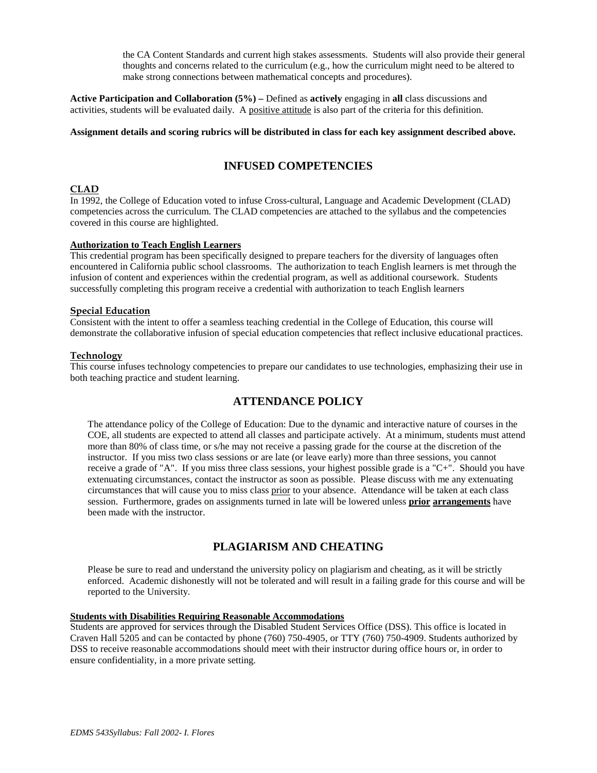the CA Content Standards and current high stakes assessments. Students will also provide their general thoughts and concerns related to the curriculum (e.g., how the curriculum might need to be altered to make strong connections between mathematical concepts and procedures).

**Active Participation and Collaboration (5%) –** Defined as **actively** engaging in **all** class discussions and activities, students will be evaluated daily. A positive attitude is also part of the criteria for this definition.

#### **Assignment details and scoring rubrics will be distributed in class for each key assignment described above.**

# **INFUSED COMPETENCIES**

### **CLAD**

In 1992, the College of Education voted to infuse Cross-cultural, Language and Academic Development (CLAD) competencies across the curriculum. The CLAD competencies are attached to the syllabus and the competencies covered in this course are highlighted.

# **Authorization to Teach English Learners**

This credential program has been specifically designed to prepare teachers for the diversity of languages often encountered in California public school classrooms. The authorization to teach English learners is met through the infusion of content and experiences within the credential program, as well as additional coursework. Students successfully completing this program receive a credential with authorization to teach English learners

### **Special Education**

Consistent with the intent to offer a seamless teaching credential in the College of Education, this course will demonstrate the collaborative infusion of special education competencies that reflect inclusive educational practices.

### **Technology**

This course infuses technology competencies to prepare our candidates to use technologies, emphasizing their use in both teaching practice and student learning.

# **ATTENDANCE POLICY**

The attendance policy of the College of Education: Due to the dynamic and interactive nature of courses in the COE, all students are expected to attend all classes and participate actively. At a minimum, students must attend more than 80% of class time, or s/he may not receive a passing grade for the course at the discretion of the instructor. If you miss two class sessions or are late (or leave early) more than three sessions, you cannot receive a grade of "A". If you miss three class sessions, your highest possible grade is a "C+". Should you have extenuating circumstances, contact the instructor as soon as possible. Please discuss with me any extenuating circumstances that will cause you to miss class prior to your absence. Attendance will be taken at each class session. Furthermore, grades on assignments turned in late will be lowered unless **prior arrangements** have been made with the instructor.

# **PLAGIARISM AND CHEATING**

Please be sure to read and understand the university policy on plagiarism and cheating, as it will be strictly enforced. Academic dishonestly will not be tolerated and will result in a failing grade for this course and will be reported to the University.

# **Students with Disabilities Requiring Reasonable Accommodations**

Students are approved for services through the Disabled Student Services Office (DSS). This office is located in Craven Hall 5205 and can be contacted by phone (760) 750-4905, or TTY (760) 750-4909. Students authorized by DSS to receive reasonable accommodations should meet with their instructor during office hours or, in order to ensure confidentiality, in a more private setting.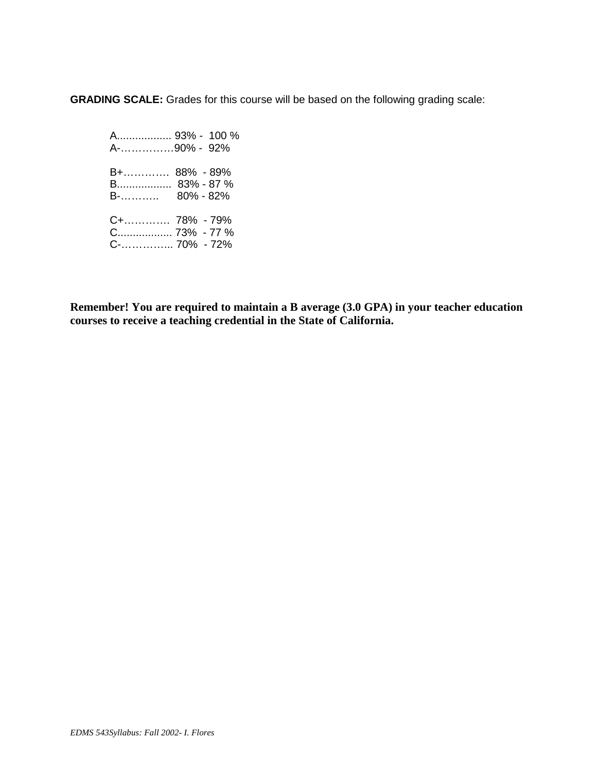**GRADING SCALE:** Grades for this course will be based on the following grading scale:

 A.................. 93% - 100 % A-……………90% - 92% B+…………. 88% - 89% B.................. 83% - 87 % B-……….. 80% - 82% C+…………. 78% - 79% C.................. 73% - 77 % C-…………... 70% - 72%

**Remember! You are required to maintain a B average (3.0 GPA) in your teacher education courses to receive a teaching credential in the State of California.**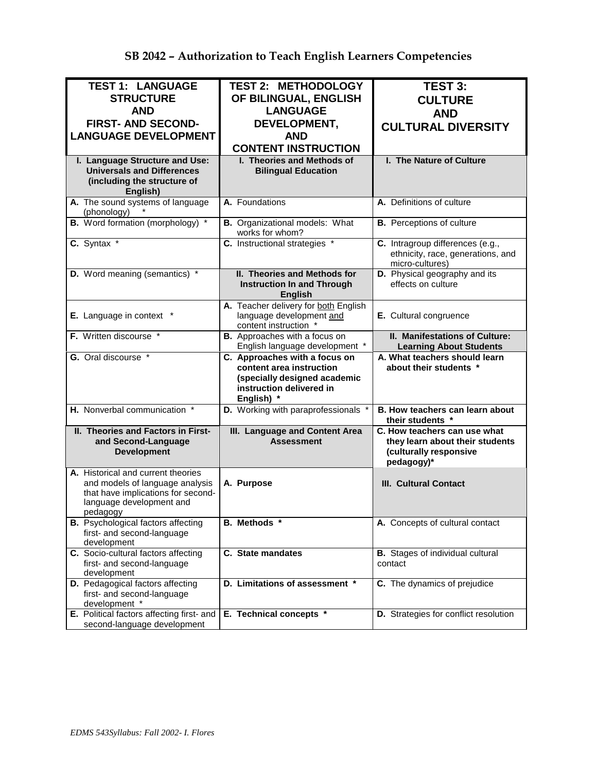| <b>TEST 1: LANGUAGE</b>                                                                                                                 | <b>TEST 2: METHODOLOGY</b>                                                                | <b>TEST 3:</b>                                                                                          |
|-----------------------------------------------------------------------------------------------------------------------------------------|-------------------------------------------------------------------------------------------|---------------------------------------------------------------------------------------------------------|
| <b>STRUCTURE</b>                                                                                                                        | OF BILINGUAL, ENGLISH                                                                     | <b>CULTURE</b>                                                                                          |
| <b>AND</b>                                                                                                                              | <b>LANGUAGE</b>                                                                           |                                                                                                         |
|                                                                                                                                         |                                                                                           | <b>AND</b>                                                                                              |
| <b>FIRST- AND SECOND-</b>                                                                                                               | DEVELOPMENT,                                                                              | <b>CULTURAL DIVERSITY</b>                                                                               |
| <b>LANGUAGE DEVELOPMENT</b>                                                                                                             | <b>AND</b>                                                                                |                                                                                                         |
|                                                                                                                                         | <b>CONTENT INSTRUCTION</b>                                                                |                                                                                                         |
| I. Language Structure and Use:<br><b>Universals and Differences</b><br>(including the structure of<br>English)                          | I. Theories and Methods of<br><b>Bilingual Education</b>                                  | I. The Nature of Culture                                                                                |
| A. The sound systems of language<br>(phonology)                                                                                         | A. Foundations                                                                            | A. Definitions of culture                                                                               |
| <b>B.</b> Word formation (morphology) *                                                                                                 | <b>B.</b> Organizational models: What<br>works for whom?                                  | <b>B.</b> Perceptions of culture                                                                        |
| C. Syntax *                                                                                                                             | C. Instructional strategies *                                                             | C. Intragroup differences (e.g.,<br>ethnicity, race, generations, and<br>micro-cultures)                |
| D. Word meaning (semantics) *                                                                                                           | II. Theories and Methods for<br><b>Instruction In and Through</b><br><b>English</b>       | D. Physical geography and its<br>effects on culture                                                     |
| E. Language in context *                                                                                                                | A. Teacher delivery for both English<br>language development and<br>content instruction * | E. Cultural congruence                                                                                  |
| F. Written discourse *                                                                                                                  | <b>B.</b> Approaches with a focus on<br>English language development *                    | II. Manifestations of Culture:<br><b>Learning About Students</b>                                        |
| G. Oral discourse *                                                                                                                     | C. Approaches with a focus on<br>content area instruction<br>(specially designed academic | A. What teachers should learn<br>about their students *                                                 |
|                                                                                                                                         | instruction delivered in<br>English) *                                                    |                                                                                                         |
| H. Nonverbal communication *                                                                                                            | D. Working with paraprofessionals *                                                       | B. How teachers can learn about<br>their students *                                                     |
| II. Theories and Factors in First-<br>and Second-Language<br><b>Development</b>                                                         | III. Language and Content Area<br><b>Assessment</b>                                       | C. How teachers can use what<br>they learn about their students<br>(culturally responsive<br>pedagogy)* |
| A. Historical and current theories<br>and models of language analysis<br>that have implications for second-<br>language development and | A. Purpose                                                                                | <b>III. Cultural Contact</b>                                                                            |
| pedagogy<br><b>B.</b> Psychological factors affecting<br>first- and second-language<br>development                                      | B. Methods *                                                                              | A. Concepts of cultural contact                                                                         |
| C. Socio-cultural factors affecting<br>first- and second-language<br>development                                                        | C. State mandates                                                                         | <b>B.</b> Stages of individual cultural<br>contact                                                      |
| D. Pedagogical factors affecting<br>first- and second-language<br>development *<br>E. Political factors affecting first- and            | D. Limitations of assessment *                                                            | C. The dynamics of prejudice                                                                            |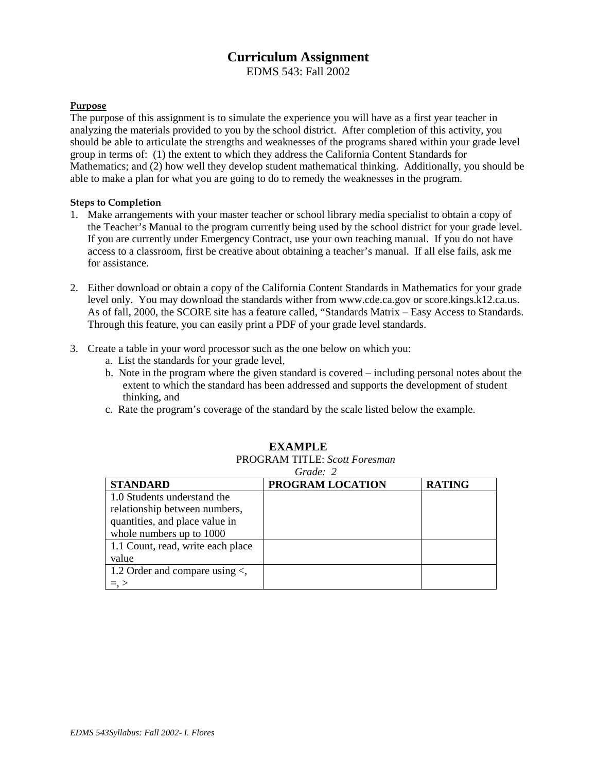# **Curriculum Assignment**

EDMS 543: Fall 2002

# **Purpose**

The purpose of this assignment is to simulate the experience you will have as a first year teacher in analyzing the materials provided to you by the school district. After completion of this activity, you should be able to articulate the strengths and weaknesses of the programs shared within your grade level group in terms of: (1) the extent to which they address the California Content Standards for Mathematics; and (2) how well they develop student mathematical thinking. Additionally, you should be able to make a plan for what you are going to do to remedy the weaknesses in the program.

# **Steps to Completion**

- 1. Make arrangements with your master teacher or school library media specialist to obtain a copy of the Teacher's Manual to the program currently being used by the school district for your grade level. If you are currently under Emergency Contract, use your own teaching manual. If you do not have access to a classroom, first be creative about obtaining a teacher's manual. If all else fails, ask me for assistance.
- 2. Either download or obtain a copy of the California Content Standards in Mathematics for your grade level only. You may download the standards wither from www.cde.ca.gov or score.kings.k12.ca.us. As of fall, 2000, the SCORE site has a feature called, "Standards Matrix – Easy Access to Standards. Through this feature, you can easily print a PDF of your grade level standards.
- 3. Create a table in your word processor such as the one below on which you:
	- a. List the standards for your grade level,
	- b. Note in the program where the given standard is covered including personal notes about the extent to which the standard has been addressed and supports the development of student thinking, and
	- c. Rate the program's coverage of the standard by the scale listed below the example.

|                                     | Grade: 2         |               |
|-------------------------------------|------------------|---------------|
| <b>STANDARD</b>                     | PROGRAM LOCATION | <b>RATING</b> |
| 1.0 Students understand the         |                  |               |
| relationship between numbers,       |                  |               |
| quantities, and place value in      |                  |               |
| whole numbers up to 1000            |                  |               |
| 1.1 Count, read, write each place   |                  |               |
| value                               |                  |               |
| 1.2 Order and compare using $\lt$ , |                  |               |
| $=$ , $>$                           |                  |               |

# **EXAMPLE**

PROGRAM TITLE: *Scott Foresman*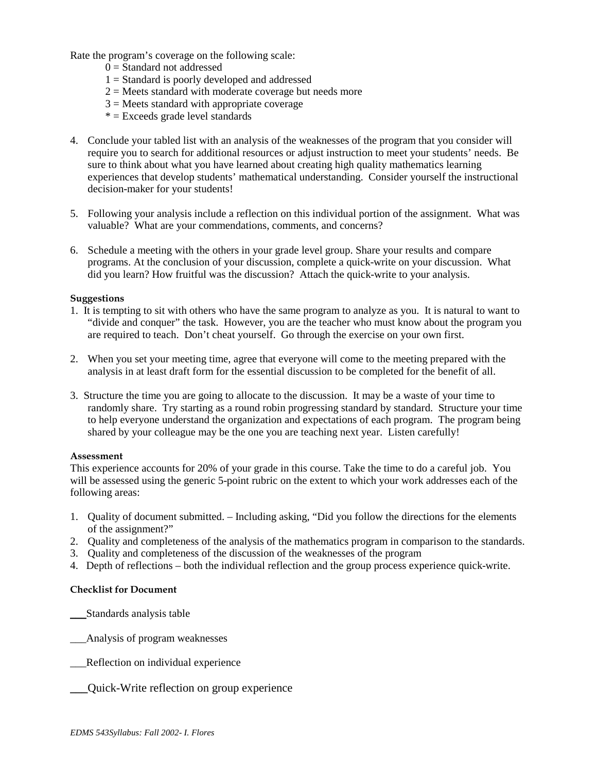Rate the program's coverage on the following scale:

- $0 =$ Standard not addressed
- $1 =$  Standard is poorly developed and addressed
- $2 =$  Meets standard with moderate coverage but needs more
- $3$  = Meets standard with appropriate coverage
- $* =$  Exceeds grade level standards
- 4. Conclude your tabled list with an analysis of the weaknesses of the program that you consider will require you to search for additional resources or adjust instruction to meet your students' needs. Be sure to think about what you have learned about creating high quality mathematics learning experiences that develop students' mathematical understanding. Consider yourself the instructional decision-maker for your students!
- 5. Following your analysis include a reflection on this individual portion of the assignment. What was valuable? What are your commendations, comments, and concerns?
- 6. Schedule a meeting with the others in your grade level group. Share your results and compare programs. At the conclusion of your discussion, complete a quick-write on your discussion. What did you learn? How fruitful was the discussion? Attach the quick-write to your analysis.

### **Suggestions**

- 1. It is tempting to sit with others who have the same program to analyze as you. It is natural to want to "divide and conquer" the task. However, you are the teacher who must know about the program you are required to teach. Don't cheat yourself. Go through the exercise on your own first.
- 2. When you set your meeting time, agree that everyone will come to the meeting prepared with the analysis in at least draft form for the essential discussion to be completed for the benefit of all.
- 3. Structure the time you are going to allocate to the discussion. It may be a waste of your time to randomly share. Try starting as a round robin progressing standard by standard. Structure your time to help everyone understand the organization and expectations of each program. The program being shared by your colleague may be the one you are teaching next year. Listen carefully!

### **Assessment**

This experience accounts for 20% of your grade in this course. Take the time to do a careful job. You will be assessed using the generic 5-point rubric on the extent to which your work addresses each of the following areas:

- 1. Quality of document submitted. Including asking, "Did you follow the directions for the elements of the assignment?"
- 2. Quality and completeness of the analysis of the mathematics program in comparison to the standards.
- 3. Quality and completeness of the discussion of the weaknesses of the program
- 4. Depth of reflections both the individual reflection and the group process experience quick-write.

### **Checklist for Document**

- \_\_\_Standards analysis table
- \_\_\_Analysis of program weaknesses
- \_\_\_Reflection on individual experience
	- **\_\_\_**Quick-Write reflection on group experience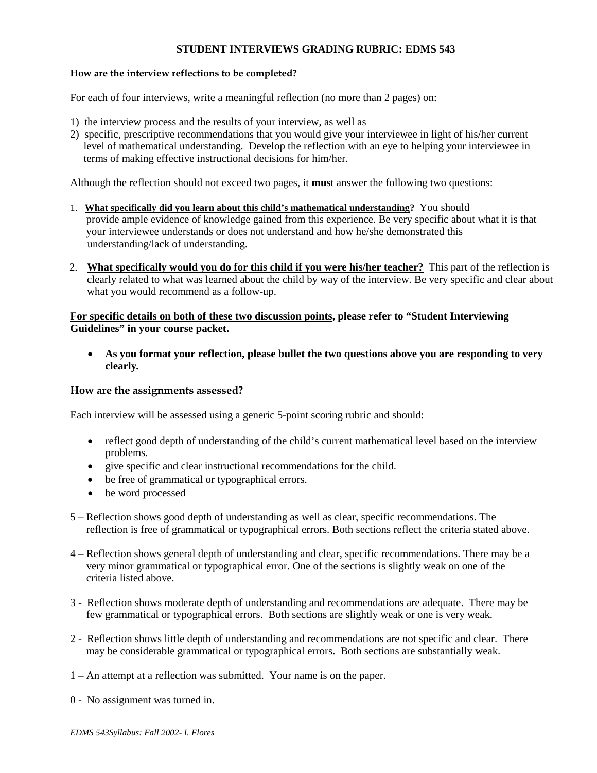# **STUDENT INTERVIEWS GRADING RUBRIC: EDMS 543**

# **How are the interview reflections to be completed?**

For each of four interviews, write a meaningful reflection (no more than 2 pages) on:

- 1) the interview process and the results of your interview, as well as
- 2) specific, prescriptive recommendations that you would give your interviewee in light of his/her current level of mathematical understanding. Develop the reflection with an eye to helping your interviewee in terms of making effective instructional decisions for him/her.

Although the reflection should not exceed two pages, it **mus**t answer the following two questions:

- 1. **What specifically did you learn about this child's mathematical understanding?** You should provide ample evidence of knowledge gained from this experience. Be very specific about what it is that your interviewee understands or does not understand and how he/she demonstrated this understanding/lack of understanding.
- 2. **What specifically would you do for this child if you were his/her teacher?** This part of the reflection is clearly related to what was learned about the child by way of the interview. Be very specific and clear about what you would recommend as a follow-up.

# **For specific details on both of these two discussion points, please refer to "Student Interviewing Guidelines" in your course packet.**

• **As you format your reflection, please bullet the two questions above you are responding to very clearly***.*

### **How are the assignments assessed?**

Each interview will be assessed using a generic 5-point scoring rubric and should:

- reflect good depth of understanding of the child's current mathematical level based on the interview problems.
- give specific and clear instructional recommendations for the child.
- be free of grammatical or typographical errors.
- be word processed
- 5 Reflection shows good depth of understanding as well as clear, specific recommendations. The reflection is free of grammatical or typographical errors. Both sections reflect the criteria stated above.
- 4 Reflection shows general depth of understanding and clear, specific recommendations. There may be a very minor grammatical or typographical error. One of the sections is slightly weak on one of the criteria listed above.
- 3 Reflection shows moderate depth of understanding and recommendations are adequate. There may be few grammatical or typographical errors. Both sections are slightly weak or one is very weak.
- 2 Reflection shows little depth of understanding and recommendations are not specific and clear. There may be considerable grammatical or typographical errors. Both sections are substantially weak.
- 1 An attempt at a reflection was submitted. Your name is on the paper.
- 0 No assignment was turned in.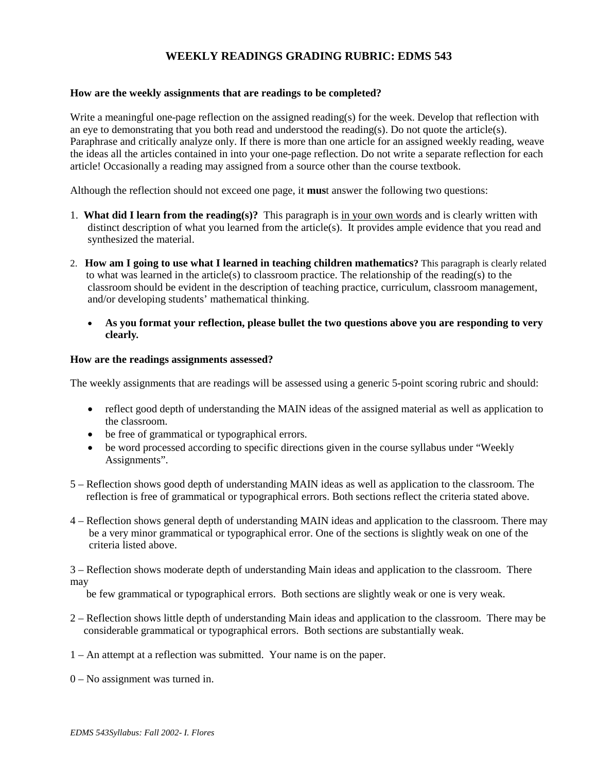# **WEEKLY READINGS GRADING RUBRIC: EDMS 543**

### **How are the weekly assignments that are readings to be completed?**

Write a meaningful one-page reflection on the assigned reading(s) for the week. Develop that reflection with an eye to demonstrating that you both read and understood the reading(s). Do not quote the article(s). Paraphrase and critically analyze only. If there is more than one article for an assigned weekly reading, weave the ideas all the articles contained in into your one-page reflection. Do not write a separate reflection for each article! Occasionally a reading may assigned from a source other than the course textbook.

Although the reflection should not exceed one page, it **mus**t answer the following two questions:

- 1. **What did I learn from the reading(s)?** This paragraph is in your own words and is clearly written with distinct description of what you learned from the article(s). It provides ample evidence that you read and synthesized the material.
- 2. **How am I going to use what I learned in teaching children mathematics?** This paragraph is clearly related to what was learned in the article(s) to classroom practice. The relationship of the reading(s) to the classroom should be evident in the description of teaching practice, curriculum, classroom management, and/or developing students' mathematical thinking.
	- **As you format your reflection, please bullet the two questions above you are responding to very clearly***.*

## **How are the readings assignments assessed?**

The weekly assignments that are readings will be assessed using a generic 5-point scoring rubric and should:

- reflect good depth of understanding the MAIN ideas of the assigned material as well as application to the classroom.
- be free of grammatical or typographical errors.
- be word processed according to specific directions given in the course syllabus under "Weekly" Assignments".
- 5 Reflection shows good depth of understanding MAIN ideas as well as application to the classroom. The reflection is free of grammatical or typographical errors. Both sections reflect the criteria stated above.
- 4 Reflection shows general depth of understanding MAIN ideas and application to the classroom. There may be a very minor grammatical or typographical error. One of the sections is slightly weak on one of the criteria listed above.

3 – Reflection shows moderate depth of understanding Main ideas and application to the classroom. There may

be few grammatical or typographical errors. Both sections are slightly weak or one is very weak.

- 2 Reflection shows little depth of understanding Main ideas and application to the classroom. There may be considerable grammatical or typographical errors. Both sections are substantially weak.
- 1 An attempt at a reflection was submitted. Your name is on the paper.
- 0 No assignment was turned in.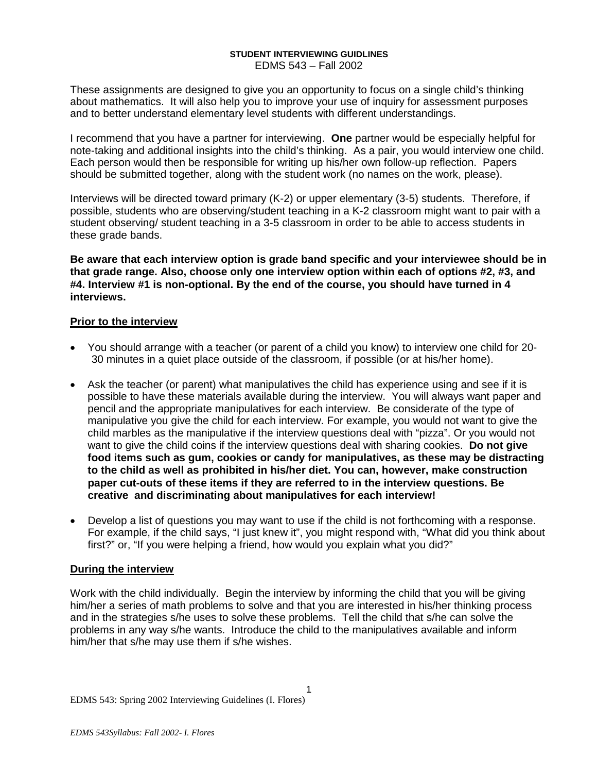### **STUDENT INTERVIEWING GUIDLINES** EDMS 543 – Fall 2002

These assignments are designed to give you an opportunity to focus on a single child's thinking about mathematics. It will also help you to improve your use of inquiry for assessment purposes and to better understand elementary level students with different understandings.

I recommend that you have a partner for interviewing. **One** partner would be especially helpful for note-taking and additional insights into the child's thinking. As a pair, you would interview one child. Each person would then be responsible for writing up his/her own follow-up reflection. Papers should be submitted together, along with the student work (no names on the work, please).

Interviews will be directed toward primary (K-2) or upper elementary (3-5) students. Therefore, if possible, students who are observing/student teaching in a K-2 classroom might want to pair with a student observing/ student teaching in a 3-5 classroom in order to be able to access students in these grade bands.

**Be aware that each interview option is grade band specific and your interviewee should be in that grade range. Also, choose only one interview option within each of options #2, #3, and #4. Interview #1 is non-optional. By the end of the course, you should have turned in 4 interviews.**

# **Prior to the interview**

- You should arrange with a teacher (or parent of a child you know) to interview one child for 20- 30 minutes in a quiet place outside of the classroom, if possible (or at his/her home).
- Ask the teacher (or parent) what manipulatives the child has experience using and see if it is possible to have these materials available during the interview. You will always want paper and pencil and the appropriate manipulatives for each interview. Be considerate of the type of manipulative you give the child for each interview. For example, you would not want to give the child marbles as the manipulative if the interview questions deal with "pizza". Or you would not want to give the child coins if the interview questions deal with sharing cookies. **Do not give food items such as gum, cookies or candy for manipulatives, as these may be distracting to the child as well as prohibited in his/her diet. You can, however, make construction paper cut-outs of these items if they are referred to in the interview questions. Be creative and discriminating about manipulatives for each interview!**
- Develop a list of questions you may want to use if the child is not forthcoming with a response. For example, if the child says, "I just knew it", you might respond with, "What did you think about first?" or, "If you were helping a friend, how would you explain what you did?"

# **During the interview**

Work with the child individually. Begin the interview by informing the child that you will be giving him/her a series of math problems to solve and that you are interested in his/her thinking process and in the strategies s/he uses to solve these problems. Tell the child that s/he can solve the problems in any way s/he wants. Introduce the child to the manipulatives available and inform him/her that s/he may use them if s/he wishes.

1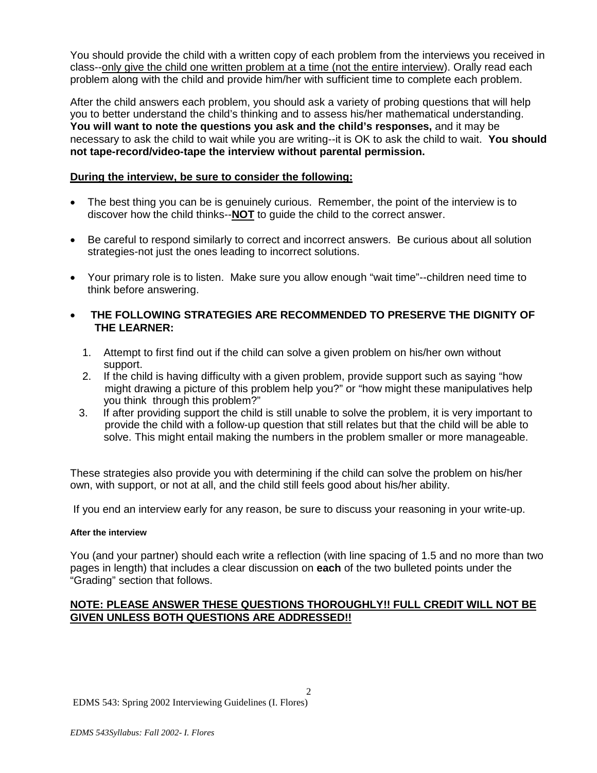You should provide the child with a written copy of each problem from the interviews you received in class--only give the child one written problem at a time (not the entire interview). Orally read each problem along with the child and provide him/her with sufficient time to complete each problem.

After the child answers each problem, you should ask a variety of probing questions that will help you to better understand the child's thinking and to assess his/her mathematical understanding. **You will want to note the questions you ask and the child's responses,** and it may be necessary to ask the child to wait while you are writing--it is OK to ask the child to wait. **You should not tape-record/video-tape the interview without parental permission.**

# **During the interview, be sure to consider the following:**

- The best thing you can be is genuinely curious. Remember, the point of the interview is to discover how the child thinks--**NOT** to guide the child to the correct answer.
- Be careful to respond similarly to correct and incorrect answers. Be curious about all solution strategies-not just the ones leading to incorrect solutions.
- Your primary role is to listen. Make sure you allow enough "wait time"--children need time to think before answering.
- **THE FOLLOWING STRATEGIES ARE RECOMMENDED TO PRESERVE THE DIGNITY OF THE LEARNER:**
	- 1. Attempt to first find out if the child can solve a given problem on his/her own without support.
	- 2. If the child is having difficulty with a given problem, provide support such as saying "how might drawing a picture of this problem help you?" or "how might these manipulatives help you think through this problem?"<br>3. If after providing support the child
	- If after providing support the child is still unable to solve the problem, it is very important to provide the child with a follow-up question that still relates but that the child will be able to solve. This might entail making the numbers in the problem smaller or more manageable.

These strategies also provide you with determining if the child can solve the problem on his/her own, with support, or not at all, and the child still feels good about his/her ability.

If you end an interview early for any reason, be sure to discuss your reasoning in your write-up.

# **After the interview**

You (and your partner) should each write a reflection (with line spacing of 1.5 and no more than two pages in length) that includes a clear discussion on **each** of the two bulleted points under the "Grading" section that follows.

# **NOTE: PLEASE ANSWER THESE QUESTIONS THOROUGHLY!! FULL CREDIT WILL NOT BE GIVEN UNLESS BOTH QUESTIONS ARE ADDRESSED!!**

 $\mathfrak{D}$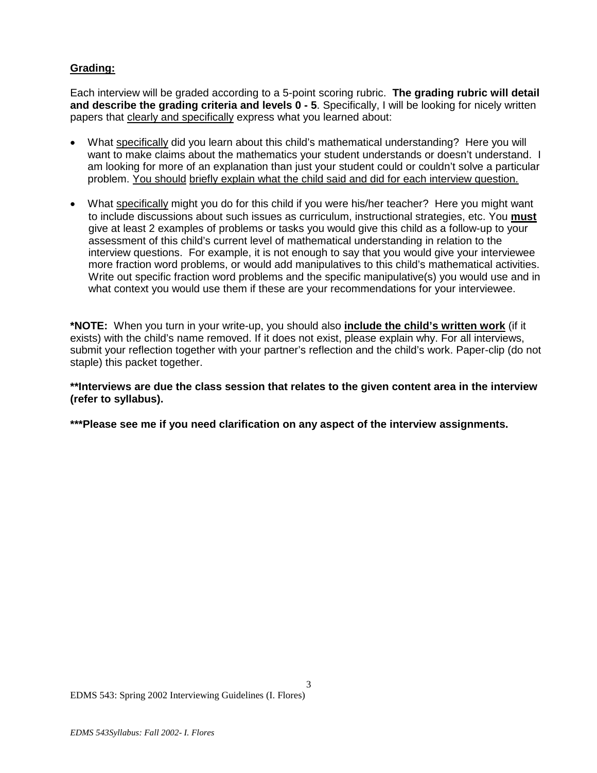# **Grading:**

Each interview will be graded according to a 5-point scoring rubric. **The grading rubric will detail and describe the grading criteria and levels 0 - 5**. Specifically, I will be looking for nicely written papers that clearly and specifically express what you learned about:

- What specifically did you learn about this child's mathematical understanding? Here you will want to make claims about the mathematics your student understands or doesn't understand. I am looking for more of an explanation than just your student could or couldn't solve a particular problem. You should briefly explain what the child said and did for each interview question.
- What specifically might you do for this child if you were his/her teacher? Here you might want to include discussions about such issues as curriculum, instructional strategies, etc. You **must** give at least 2 examples of problems or tasks you would give this child as a follow-up to your assessment of this child's current level of mathematical understanding in relation to the interview questions. For example, it is not enough to say that you would give your interviewee more fraction word problems, or would add manipulatives to this child's mathematical activities. Write out specific fraction word problems and the specific manipulative(s) you would use and in what context you would use them if these are your recommendations for your interviewee.

**\*NOTE:** When you turn in your write-up, you should also **include the child's written work** (if it exists) with the child's name removed. If it does not exist, please explain why. For all interviews, submit your reflection together with your partner's reflection and the child's work. Paper-clip (do not staple) this packet together.

**\*\*Interviews are due the class session that relates to the given content area in the interview (refer to syllabus).** 

3

**\*\*\*Please see me if you need clarification on any aspect of the interview assignments.**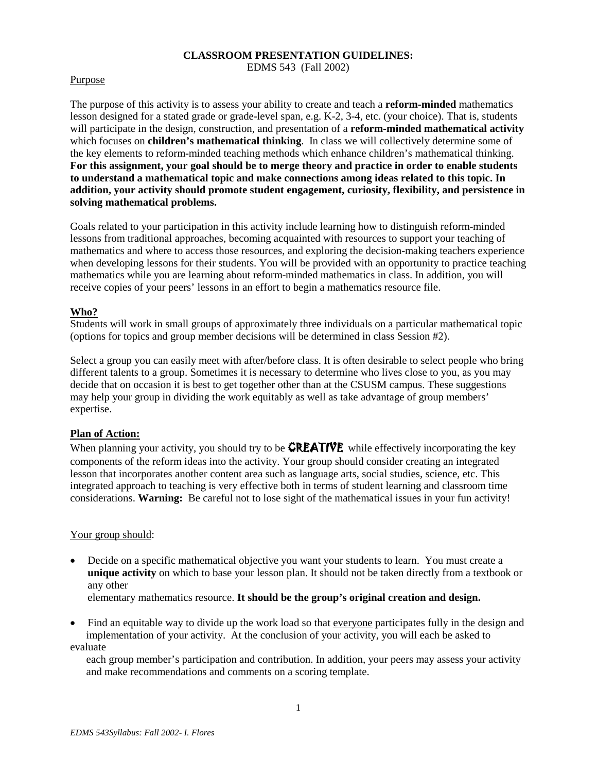# **CLASSROOM PRESENTATION GUIDELINES:**

EDMS 543 (Fall 2002)

## Purpose

The purpose of this activity is to assess your ability to create and teach a **reform-minded** mathematics lesson designed for a stated grade or grade-level span, e.g. K-2, 3-4, etc. (your choice). That is, students will participate in the design, construction, and presentation of a **reform-minded mathematical activity** which focuses on **children's mathematical thinking**. In class we will collectively determine some of the key elements to reform-minded teaching methods which enhance children's mathematical thinking. **For this assignment, your goal should be to merge theory and practice in order to enable students to understand a mathematical topic and make connections among ideas related to this topic. In addition, your activity should promote student engagement, curiosity, flexibility, and persistence in solving mathematical problems.**

Goals related to your participation in this activity include learning how to distinguish reform-minded lessons from traditional approaches, becoming acquainted with resources to support your teaching of mathematics and where to access those resources, and exploring the decision-making teachers experience when developing lessons for their students. You will be provided with an opportunity to practice teaching mathematics while you are learning about reform-minded mathematics in class. In addition, you will receive copies of your peers' lessons in an effort to begin a mathematics resource file.

# **Who?**

Students will work in small groups of approximately three individuals on a particular mathematical topic (options for topics and group member decisions will be determined in class Session #2).

Select a group you can easily meet with after/before class. It is often desirable to select people who bring different talents to a group. Sometimes it is necessary to determine who lives close to you, as you may decide that on occasion it is best to get together other than at the CSUSM campus. These suggestions may help your group in dividing the work equitably as well as take advantage of group members' expertise.

# **Plan of Action:**

When planning your activity, you should try to be **CREATIVE** while effectively incorporating the key components of the reform ideas into the activity. Your group should consider creating an integrated lesson that incorporates another content area such as language arts, social studies, science, etc. This integrated approach to teaching is very effective both in terms of student learning and classroom time considerations. **Warning:** Be careful not to lose sight of the mathematical issues in your fun activity!

### Your group should:

• Decide on a specific mathematical objective you want your students to learn. You must create a **unique activity** on which to base your lesson plan. It should not be taken directly from a textbook or any other

elementary mathematics resource. **It should be the group's original creation and design.** 

• Find an equitable way to divide up the work load so that everyone participates fully in the design and implementation of your activity. At the conclusion of your activity, you will each be asked to evaluate

 each group member's participation and contribution. In addition, your peers may assess your activity and make recommendations and comments on a scoring template.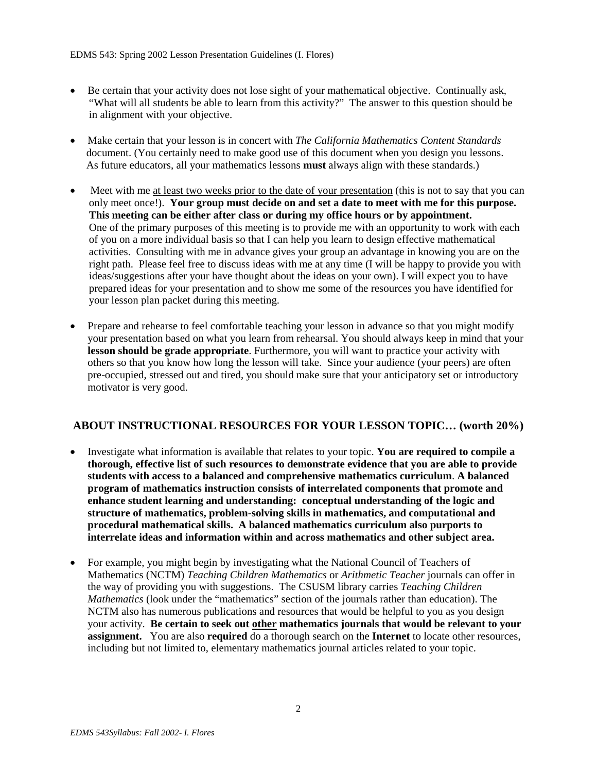- Be certain that your activity does not lose sight of your mathematical objective. Continually ask, "What will all students be able to learn from this activity?" The answer to this question should be in alignment with your objective.
- Make certain that your lesson is in concert with *The California Mathematics Content Standards* document. (You certainly need to make good use of this document when you design you lessons. As future educators, all your mathematics lessons **must** always align with these standards.)
- Meet with me <u>at least two weeks prior to the date of your presentation</u> (this is not to say that you can only meet once!). **Your group must decide on and set a date to meet with me for this purpose. This meeting can be either after class or during my office hours or by appointment.** One of the primary purposes of this meeting is to provide me with an opportunity to work with each of you on a more individual basis so that I can help you learn to design effective mathematical activities. Consulting with me in advance gives your group an advantage in knowing you are on the right path. Please feel free to discuss ideas with me at any time (I will be happy to provide you with ideas/suggestions after your have thought about the ideas on your own). I will expect you to have prepared ideas for your presentation and to show me some of the resources you have identified for your lesson plan packet during this meeting.
- Prepare and rehearse to feel comfortable teaching your lesson in advance so that you might modify your presentation based on what you learn from rehearsal. You should always keep in mind that your **lesson should be grade appropriate**. Furthermore, you will want to practice your activity with others so that you know how long the lesson will take. Since your audience (your peers) are often pre-occupied, stressed out and tired, you should make sure that your anticipatory set or introductory motivator is very good.

# **ABOUT INSTRUCTIONAL RESOURCES FOR YOUR LESSON TOPIC… (worth 20%)**

- Investigate what information is available that relates to your topic. **You are required to compile a thorough, effective list of such resources to demonstrate evidence that you are able to provide students with access to a balanced and comprehensive mathematics curriculum**. **A balanced program of mathematics instruction consists of interrelated components that promote and enhance student learning and understanding: conceptual understanding of the logic and structure of mathematics, problem-solving skills in mathematics, and computational and procedural mathematical skills. A balanced mathematics curriculum also purports to interrelate ideas and information within and across mathematics and other subject area.**
- For example, you might begin by investigating what the National Council of Teachers of Mathematics (NCTM) *Teaching Children Mathematics* or *Arithmetic Teacher* journals can offer in the way of providing you with suggestions. The CSUSM library carries *Teaching Children Mathematics* (look under the "mathematics" section of the journals rather than education). The NCTM also has numerous publications and resources that would be helpful to you as you design your activity. **Be certain to seek out other mathematics journals that would be relevant to your assignment.** You are also **required** do a thorough search on the **Internet** to locate other resources, including but not limited to, elementary mathematics journal articles related to your topic.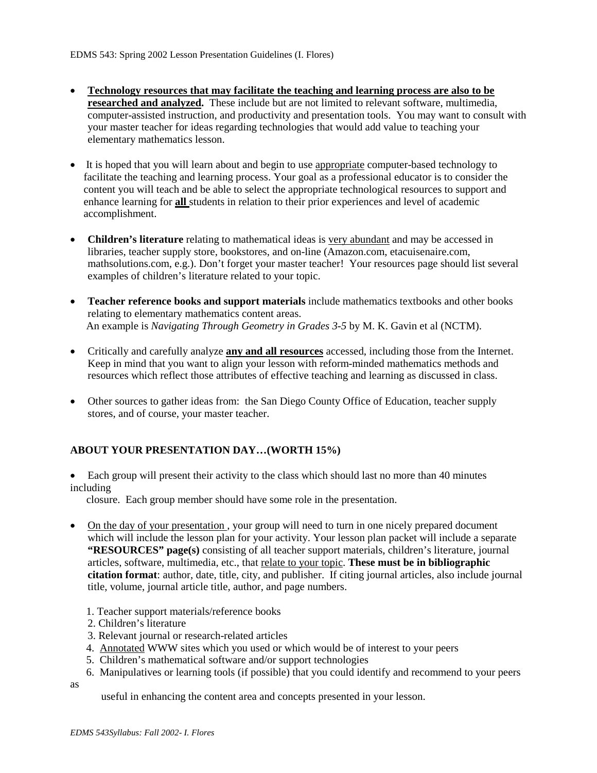- **Technology resources that may facilitate the teaching and learning process are also to be researched and analyzed.** These include but are not limited to relevant software, multimedia, computer-assisted instruction, and productivity and presentation tools. You may want to consult with your master teacher for ideas regarding technologies that would add value to teaching your elementary mathematics lesson.
- It is hoped that you will learn about and begin to use appropriate computer-based technology to facilitate the teaching and learning process. Your goal as a professional educator is to consider the content you will teach and be able to select the appropriate technological resources to support and enhance learning for **all** students in relation to their prior experiences and level of academic accomplishment.
- **Children's literature** relating to mathematical ideas is very abundant and may be accessed in libraries, teacher supply store, bookstores, and on-line (Amazon.com, etacuisenaire.com, mathsolutions.com, e.g.). Don't forget your master teacher! Your resources page should list several examples of children's literature related to your topic.
- **Teacher reference books and support materials** include mathematics textbooks and other books relating to elementary mathematics content areas. An example is *Navigating Through Geometry in Grades 3-5* by M. K. Gavin et al (NCTM).
- Critically and carefully analyze **any and all resources** accessed, including those from the Internet. Keep in mind that you want to align your lesson with reform-minded mathematics methods and resources which reflect those attributes of effective teaching and learning as discussed in class.
- Other sources to gather ideas from: the San Diego County Office of Education, teacher supply stores, and of course, your master teacher.

# **ABOUT YOUR PRESENTATION DAY…(WORTH 15%)**

• Each group will present their activity to the class which should last no more than 40 minutes including

closure.Each group member should have some role in the presentation.

- On the day of your presentation, your group will need to turn in one nicely prepared document which will include the lesson plan for your activity. Your lesson plan packet will include a separate **"RESOURCES" page(s)** consisting of all teacher support materials, children's literature, journal articles, software, multimedia, etc., that relate to your topic. **These must be in bibliographic citation format**: author, date, title, city, and publisher. If citing journal articles, also include journal title, volume, journal article title, author, and page numbers.
	- 1. Teacher support materials/reference books
	- 2. Children's literature
	- 3. Relevant journal or research-related articles
	- 4. Annotated WWW sites which you used or which would be of interest to your peers
	- 5. Children's mathematical software and/or support technologies
	- 6. Manipulatives or learning tools (if possible) that you could identify and recommend to your peers

as

useful in enhancing the content area and concepts presented in your lesson.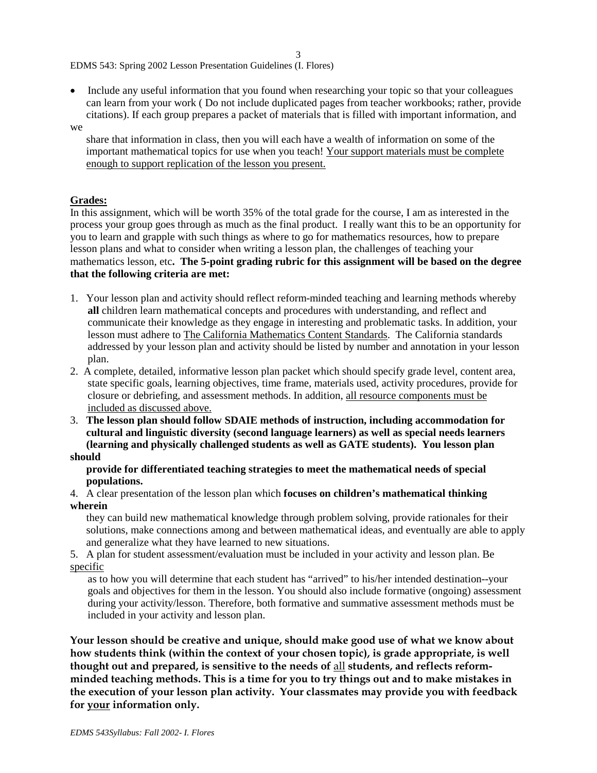3

EDMS 543: Spring 2002 Lesson Presentation Guidelines (I. Flores)

• Include any useful information that you found when researching your topic so that your colleagues can learn from your work ( Do not include duplicated pages from teacher workbooks; rather, provide citations). If each group prepares a packet of materials that is filled with important information, and

### we

 share that information in class, then you will each have a wealth of information on some of the important mathematical topics for use when you teach! Your support materials must be complete enough to support replication of the lesson you present.

# **Grades:**

In this assignment, which will be worth 35% of the total grade for the course, I am as interested in the process your group goes through as much as the final product. I really want this to be an opportunity for you to learn and grapple with such things as where to go for mathematics resources, how to prepare lesson plans and what to consider when writing a lesson plan, the challenges of teaching your mathematics lesson, etc**. The 5-point grading rubric for this assignment will be based on the degree that the following criteria are met:**

- 1. Your lesson plan and activity should reflect reform-minded teaching and learning methods whereby **all** children learn mathematical concepts and procedures with understanding, and reflect and communicate their knowledge as they engage in interesting and problematic tasks. In addition, your lesson must adhere to The California Mathematics Content Standards. The California standards addressed by your lesson plan and activity should be listed by number and annotation in your lesson plan.
- 2. A complete, detailed, informative lesson plan packet which should specify grade level, content area, state specific goals, learning objectives, time frame, materials used, activity procedures, provide for closure or debriefing, and assessment methods. In addition, all resource components must be included as discussed above.
- 3. **The lesson plan should follow SDAIE methods of instruction, including accommodation for cultural and linguistic diversity (second language learners) as well as special needs learners (learning and physically challenged students as well as GATE students). You lesson plan should**

### **provide for differentiated teaching strategies to meet the mathematical needs of special populations.**

4. A clear presentation of the lesson plan which **focuses on children's mathematical thinking wherein**

 they can build new mathematical knowledge through problem solving, provide rationales for their solutions, make connections among and between mathematical ideas, and eventually are able to apply and generalize what they have learned to new situations.

5. A plan for student assessment/evaluation must be included in your activity and lesson plan. Be specific

as to how you will determine that each student has "arrived" to his/her intended destination--your goals and objectives for them in the lesson. You should also include formative (ongoing) assessment during your activity/lesson. Therefore, both formative and summative assessment methods must be included in your activity and lesson plan.

**Your lesson should be creative and unique, should make good use of what we know about how students think (within the context of your chosen topic), is grade appropriate, is well thought out and prepared, is sensitive to the needs of** all **students, and reflects reformminded teaching methods. This is a time for you to try things out and to make mistakes in the execution of your lesson plan activity. Your classmates may provide you with feedback for your information only.**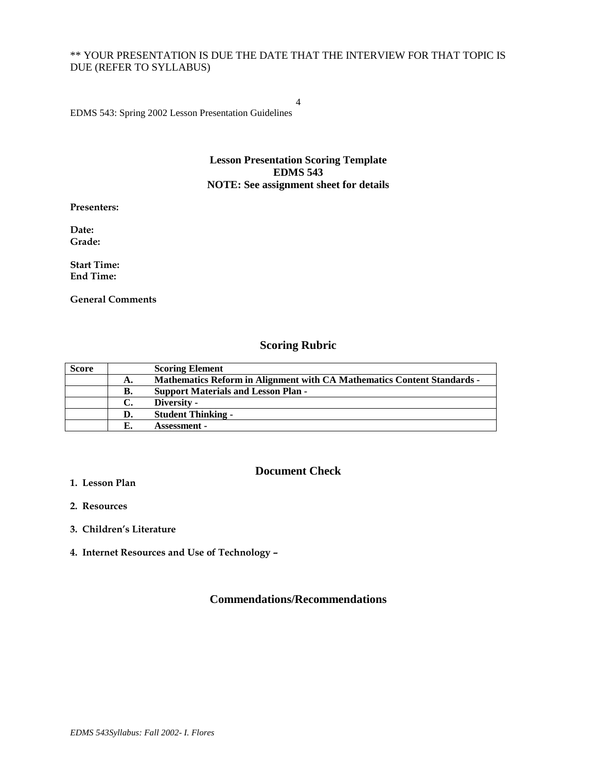# \*\* YOUR PRESENTATION IS DUE THE DATE THAT THE INTERVIEW FOR THAT TOPIC IS DUE (REFER TO SYLLABUS)

EDMS 543: Spring 2002 Lesson Presentation Guidelines

## **Lesson Presentation Scoring Template EDMS 543 NOTE: See assignment sheet for details**

4

**Presenters:**

**Date: Grade:**

**Start Time: End Time:**

**General Comments**

# **Scoring Rubric**

| <b>Score</b> |    | <b>Scoring Element</b>                                                         |
|--------------|----|--------------------------------------------------------------------------------|
|              | А. | <b>Mathematics Reform in Alignment with CA Mathematics Content Standards -</b> |
|              | В. | <b>Support Materials and Lesson Plan -</b>                                     |
|              | C. | Diversity -                                                                    |
|              | D. | <b>Student Thinking -</b>                                                      |
|              |    | <b>Assessment -</b>                                                            |

# **Document Check**

- **1. Lesson Plan**
- **2. Resources**
- **3. Children's Literature**
- **4. Internet Resources and Use of Technology –**

# **Commendations/Recommendations**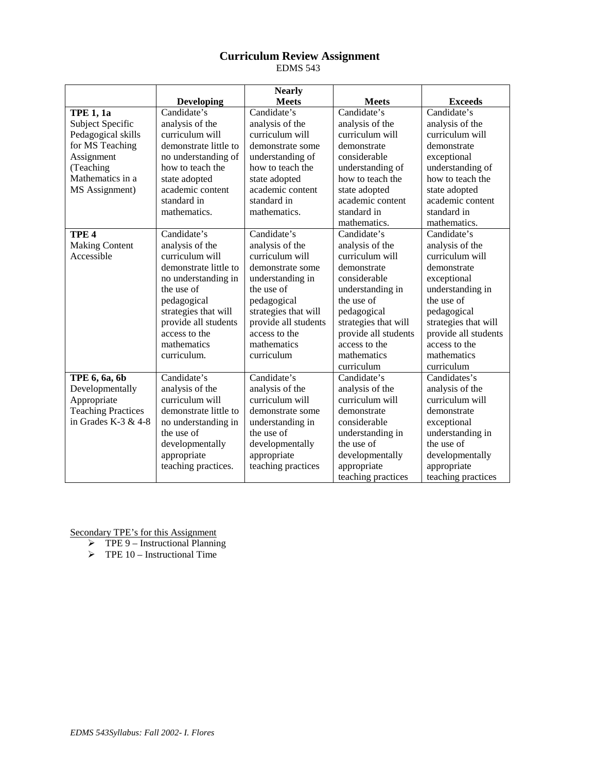# **Curriculum Review Assignment** EDMS 543

| <b>Nearly</b>             |                       |                      |                                    |                      |
|---------------------------|-----------------------|----------------------|------------------------------------|----------------------|
|                           | <b>Developing</b>     | <b>Meets</b>         | <b>Meets</b>                       | <b>Exceeds</b>       |
| <b>TPE 1, 1a</b>          | Candidate's           | Candidate's          | Candidate's                        | Candidate's          |
| Subject Specific          | analysis of the       | analysis of the      | analysis of the<br>analysis of the |                      |
| Pedagogical skills        | curriculum will       | curriculum will      | curriculum will                    | curriculum will      |
| for MS Teaching           | demonstrate little to | demonstrate some     | demonstrate                        | demonstrate          |
| Assignment                | no understanding of   | understanding of     | considerable                       | exceptional          |
| (Teaching                 | how to teach the      | how to teach the     | understanding of                   | understanding of     |
| Mathematics in a          | state adopted         | state adopted        | how to teach the                   | how to teach the     |
| MS Assignment)            | academic content      | academic content     | state adopted                      | state adopted        |
|                           | standard in           | standard in          | academic content                   | academic content     |
|                           | mathematics.          | mathematics.         | standard in                        | standard in          |
|                           |                       |                      | mathematics.                       | mathematics.         |
| TPE <sub>4</sub>          | Candidate's           | Candidate's          | Candidate's                        | Candidate's          |
| <b>Making Content</b>     | analysis of the       | analysis of the      | analysis of the                    | analysis of the      |
| Accessible                | curriculum will       | curriculum will      | curriculum will                    | curriculum will      |
|                           | demonstrate little to | demonstrate some     | demonstrate                        | demonstrate          |
|                           | no understanding in   | understanding in     | considerable                       | exceptional          |
|                           | the use of            | the use of           | understanding in                   | understanding in     |
|                           | pedagogical           | pedagogical          | the use of                         | the use of           |
|                           | strategies that will  | strategies that will | pedagogical                        | pedagogical          |
|                           | provide all students  | provide all students | strategies that will               | strategies that will |
|                           | access to the         | access to the        | provide all students               | provide all students |
|                           | mathematics           | mathematics          | access to the                      | access to the        |
|                           | curriculum.           | curriculum           | mathematics                        | mathematics          |
|                           |                       |                      | curriculum                         | curriculum           |
| TPE 6, 6a, 6b             | Candidate's           | Candidate's          | Candidate's                        | Candidates's         |
| Developmentally           | analysis of the       | analysis of the      | analysis of the                    | analysis of the      |
| Appropriate               | curriculum will       | curriculum will      | curriculum will                    | curriculum will      |
| <b>Teaching Practices</b> | demonstrate little to | demonstrate some     | demonstrate<br>demonstrate         |                      |
| in Grades K-3 $& 4-8$     | no understanding in   | understanding in     | considerable                       | exceptional          |
|                           | the use of            | the use of           | understanding in                   | understanding in     |
|                           | developmentally       | developmentally      | the use of                         | the use of           |
|                           | appropriate           | appropriate          | developmentally                    | developmentally      |
|                           | teaching practices.   | teaching practices   | appropriate                        | appropriate          |
|                           |                       |                      | teaching practices                 | teaching practices   |

Secondary TPE's for this Assignment

 $\triangleright$  TPE 9 – Instructional Planning

 $\triangleright$  TPE 10 – Instructional Time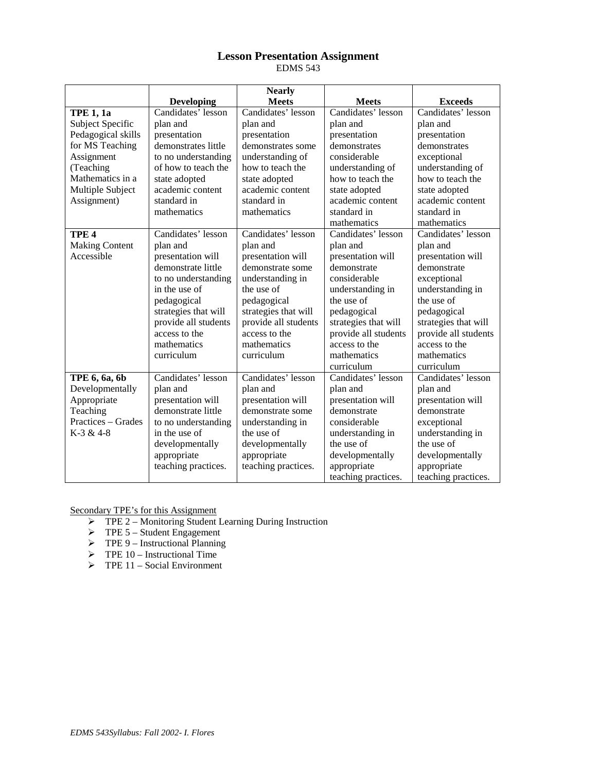# **Lesson Presentation Assignment** EDMS 543

|                         |                      | <b>Nearly</b>        |                             |                      |
|-------------------------|----------------------|----------------------|-----------------------------|----------------------|
|                         | <b>Developing</b>    | <b>Meets</b>         | <b>Meets</b>                | <b>Exceeds</b>       |
| <b>TPE 1, 1a</b>        | Candidates' lesson   | Candidates' lesson   | Candidates' lesson          | Candidates' lesson   |
| <b>Subject Specific</b> | plan and             | plan and             | plan and                    | plan and             |
| Pedagogical skills      | presentation         | presentation         | presentation                | presentation         |
| for MS Teaching         | demonstrates little  | demonstrates some    | demonstrates                | demonstrates         |
| Assignment              | to no understanding  | understanding of     | considerable                | exceptional          |
| (Teaching               | of how to teach the  | how to teach the     | understanding of            | understanding of     |
| Mathematics in a        | state adopted        | state adopted        | how to teach the            | how to teach the     |
| Multiple Subject        | academic content     | academic content     | state adopted               | state adopted        |
| Assignment)             | standard in          | standard in          | academic content            | academic content     |
|                         | mathematics          | mathematics          | standard in                 | standard in          |
|                         |                      |                      | mathematics                 | mathematics          |
| TPE <sub>4</sub>        | Candidates' lesson   | Candidates' lesson   | Candidates' lesson          | Candidates' lesson   |
| <b>Making Content</b>   | plan and             | plan and             | plan and                    | plan and             |
| Accessible              | presentation will    | presentation will    | presentation will           | presentation will    |
|                         | demonstrate little   | demonstrate some     | demonstrate                 | demonstrate          |
|                         | to no understanding  | understanding in     | considerable                | exceptional          |
|                         | in the use of        | the use of           | understanding in            | understanding in     |
|                         | pedagogical          | pedagogical          | the use of                  | the use of           |
|                         | strategies that will | strategies that will | pedagogical                 | pedagogical          |
|                         | provide all students | provide all students | strategies that will        | strategies that will |
|                         | access to the        | access to the        | provide all students        | provide all students |
|                         | mathematics          | mathematics          | access to the               | access to the        |
|                         | curriculum           | curriculum           | mathematics                 | mathematics          |
|                         |                      |                      | curriculum                  | curriculum           |
| TPE 6, 6a, 6b           | Candidates' lesson   | Candidates' lesson   | Candidates' lesson          | Candidates' lesson   |
| Developmentally         | plan and             | plan and             | plan and                    | plan and             |
| Appropriate             | presentation will    | presentation will    | presentation will           | presentation will    |
| Teaching                | demonstrate little   | demonstrate some     | demonstrate<br>demonstrate  |                      |
| Practices - Grades      | to no understanding  | understanding in     | considerable<br>exceptional |                      |
| K-3 & 4-8               | in the use of        | the use of           | understanding in            | understanding in     |
|                         | developmentally      | developmentally      | the use of                  | the use of           |
|                         | appropriate          | appropriate          | developmentally             | developmentally      |
|                         | teaching practices.  | teaching practices.  | appropriate                 | appropriate          |
|                         |                      |                      | teaching practices.         | teaching practices.  |

Secondary TPE's for this Assignment

- TPE 2 Monitoring Student Learning During Instruction
- $\triangleright$  TPE 5 Student Engagement
- $\triangleright$  TPE 9 Instructional Planning
- $\triangleright$  TPE 10 Instructional Time
- $\triangleright$  TPE 11 Social Environment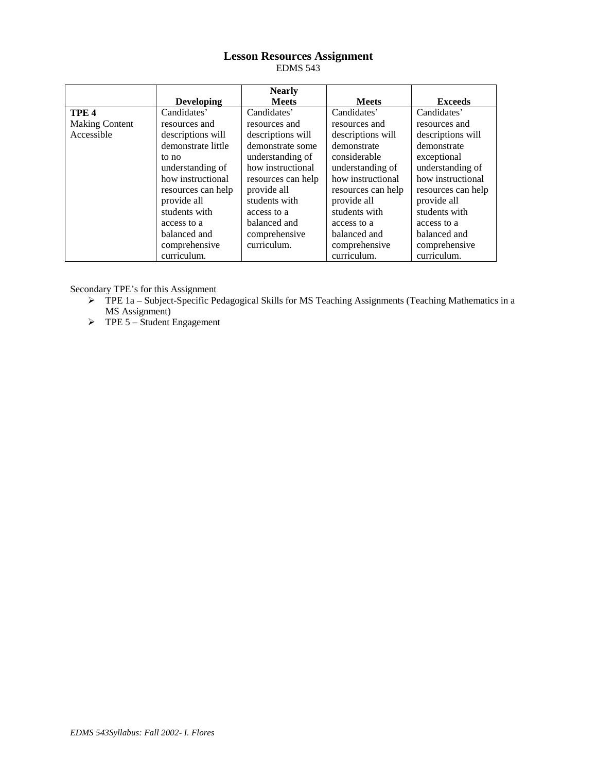# **Lesson Resources Assignment** EDMS 543

|                       |                    | <b>Nearly</b>      |                    |                    |
|-----------------------|--------------------|--------------------|--------------------|--------------------|
|                       | <b>Developing</b>  | <b>Meets</b>       | <b>Meets</b>       | <b>Exceeds</b>     |
| TPE <sub>4</sub>      | Candidates'        | Candidates'        | Candidates'        | Candidates'        |
| <b>Making Content</b> | resources and      | resources and      | resources and      | resources and      |
| Accessible            | descriptions will  | descriptions will  | descriptions will  | descriptions will  |
|                       | demonstrate little | demonstrate some   | demonstrate        | demonstrate        |
|                       | to no              | understanding of   | considerable       | exceptional        |
|                       | understanding of   | how instructional  | understanding of   | understanding of   |
|                       | how instructional  | resources can help | how instructional  | how instructional  |
|                       | resources can help | provide all        | resources can help | resources can help |
|                       | provide all        | students with      | provide all        | provide all        |
|                       | students with      | access to a        | students with      | students with      |
|                       | access to a        | balanced and       | access to a        | access to a        |
|                       | balanced and       | comprehensive      | balanced and       | balanced and       |
|                       | comprehensive      | curriculum.        | comprehensive      | comprehensive      |
|                       | curriculum.        |                    | curriculum.        | curriculum.        |

Secondary TPE's for this Assignment

- $\triangleright$  TPE 1a Subject-Specific Pedagogical Skills for MS Teaching Assignments (Teaching Mathematics in a MS Assignment)
- $\triangleright$  TPE 5 Student Engagement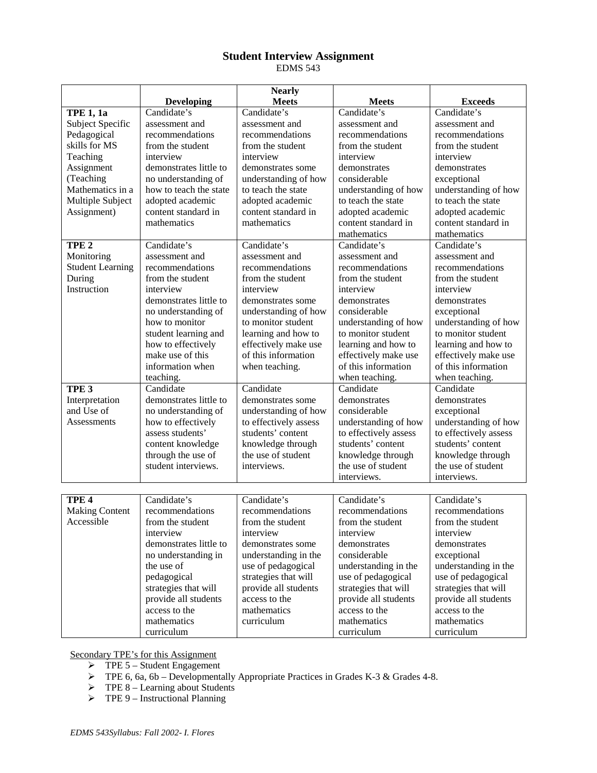# **Student Interview Assignment** EDMS 543

|                         |                           | <b>Nearly</b>         |                           |                           |
|-------------------------|---------------------------|-----------------------|---------------------------|---------------------------|
|                         | <b>Developing</b>         | <b>Meets</b>          | <b>Meets</b>              | <b>Exceeds</b>            |
| <b>TPE 1, 1a</b>        | Candidate's               | Candidate's           | Candidate's               | Candidate's               |
| Subject Specific        | assessment and            | assessment and        | assessment and            | assessment and            |
| Pedagogical             | recommendations           | recommendations       | recommendations           | recommendations           |
| skills for MS           | from the student          | from the student      | from the student          | from the student          |
| Teaching                | interview                 | interview             | interview                 | interview                 |
| Assignment              | demonstrates little to    | demonstrates some     | demonstrates              | demonstrates              |
| (Teaching               | no understanding of       | understanding of how  | considerable              | exceptional               |
| Mathematics in a        | how to teach the state    | to teach the state    | understanding of how      | understanding of how      |
| Multiple Subject        | adopted academic          | adopted academic      | to teach the state        | to teach the state        |
| Assignment)             | content standard in       | content standard in   | adopted academic          | adopted academic          |
|                         | mathematics               | mathematics           | content standard in       | content standard in       |
|                         |                           |                       | mathematics               | mathematics               |
| TPE <sub>2</sub>        | Candidate's               | Candidate's           | Candidate's               | Candidate's               |
| Monitoring              | assessment and            | assessment and        | assessment and            | assessment and            |
| <b>Student Learning</b> | recommendations           | recommendations       | recommendations           | recommendations           |
| During                  | from the student          | from the student      | from the student          | from the student          |
| Instruction             | interview                 | interview             | interview                 | interview                 |
|                         | demonstrates little to    | demonstrates some     | demonstrates              | demonstrates              |
|                         | no understanding of       | understanding of how  | considerable              | exceptional               |
|                         | how to monitor            | to monitor student    | understanding of how      | understanding of how      |
|                         | student learning and      | learning and how to   | to monitor student        | to monitor student        |
|                         | how to effectively        | effectively make use  | learning and how to       | learning and how to       |
|                         | make use of this          | of this information   | effectively make use      | effectively make use      |
|                         | information when          | when teaching.        | of this information       | of this information       |
|                         | teaching.                 |                       | when teaching.            | when teaching.            |
| TPE <sub>3</sub>        | Candidate                 | Candidate             | Candidate                 | Candidate                 |
| Interpretation          | demonstrates little to    | demonstrates some     | demonstrates              | demonstrates              |
| and Use of              | no understanding of       | understanding of how  | considerable              | exceptional               |
| <b>Assessments</b>      | how to effectively        | to effectively assess | understanding of how      | understanding of how      |
|                         | assess students'          | students' content     | to effectively assess     | to effectively assess     |
|                         | content knowledge         | knowledge through     | students' content         | students' content         |
|                         | through the use of        | the use of student    | knowledge through         | knowledge through         |
|                         | student interviews.       | interviews.           | the use of student        | the use of student        |
|                         |                           |                       | interviews.               | interviews.               |
|                         |                           |                       |                           |                           |
| TPE <sub>4</sub>        | Candidate's               | Candidate's           | Candidate's               | Candidate's               |
| <b>Making Content</b>   | recommendations           | recommendations       | recommendations           | recommendations           |
| Accessible              | from the student          | from the student      | from the student          | from the student          |
|                         | interview                 | interview             | interview                 | interview                 |
|                         | demonstrates little to    | demonstrates some     | demonstrates              | demonstrates              |
|                         | no understanding in       | understanding in the  | considerable              | exceptional               |
|                         | the use of                | use of pedagogical    | understanding in the      | understanding in the      |
|                         | pedagogical               | strategies that will  | use of pedagogical        | use of pedagogical        |
|                         | strategies that will      | provide all students  | strategies that will      | strategies that will      |
|                         | provide all students      | access to the         | provide all students      | provide all students      |
|                         | access to the             | mathematics           | access to the             | access to the             |
|                         |                           |                       |                           |                           |
|                         |                           |                       |                           |                           |
|                         | mathematics<br>curriculum | curriculum            | mathematics<br>curriculum | mathematics<br>curriculum |

Secondary TPE's for this Assignment

- $\triangleright$  TPE 5 Student Engagement
- $\triangleright$  TPE 6, 6a, 6b Developmentally Appropriate Practices in Grades K-3 & Grades 4-8.
- $\triangleright$  TPE 8 Learning about Students
- $\triangleright$  TPE 9 Instructional Planning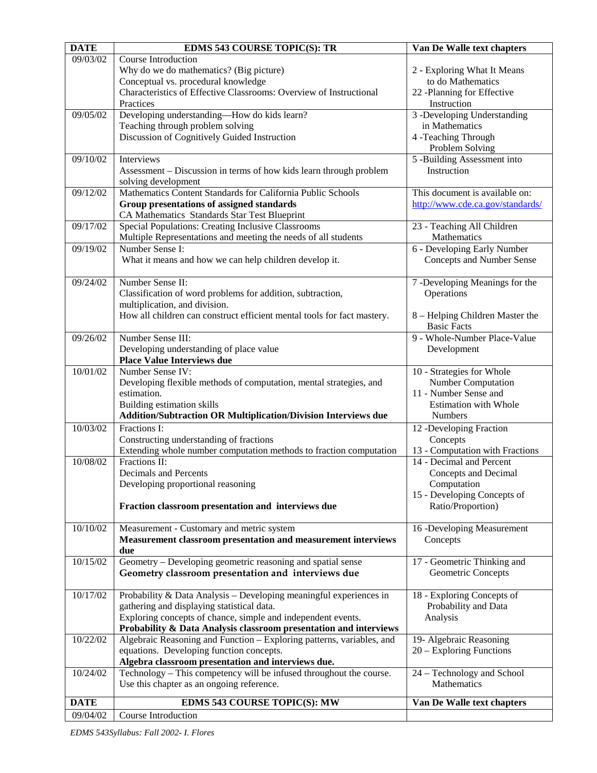| <b>DATE</b> | EDMS 543 COURSE TOPIC(S): TR                                                                                                      | Van De Walle text chapters                            |
|-------------|-----------------------------------------------------------------------------------------------------------------------------------|-------------------------------------------------------|
| 09/03/02    | Course Introduction                                                                                                               |                                                       |
|             | Why do we do mathematics? (Big picture)                                                                                           | 2 - Exploring What It Means                           |
|             | Conceptual vs. procedural knowledge                                                                                               | to do Mathematics                                     |
|             | Characteristics of Effective Classrooms: Overview of Instructional<br>Practices                                                   | 22 -Planning for Effective<br>Instruction             |
| 09/05/02    | Developing understanding-How do kids learn?                                                                                       | 3 -Developing Understanding                           |
|             | Teaching through problem solving                                                                                                  | in Mathematics                                        |
|             | Discussion of Cognitively Guided Instruction                                                                                      | 4 -Teaching Through                                   |
|             |                                                                                                                                   | Problem Solving                                       |
| 09/10/02    | Interviews                                                                                                                        | 5 -Building Assessment into                           |
|             | Assessment – Discussion in terms of how kids learn through problem                                                                | Instruction                                           |
|             | solving development                                                                                                               |                                                       |
| 09/12/02    | Mathematics Content Standards for California Public Schools                                                                       | This document is available on:                        |
|             | Group presentations of assigned standards<br>CA Mathematics Standards Star Test Blueprint                                         | http://www.cde.ca.gov/standards/                      |
| 09/17/02    | Special Populations: Creating Inclusive Classrooms                                                                                | 23 - Teaching All Children                            |
|             | Multiple Representations and meeting the needs of all students                                                                    | Mathematics                                           |
| 09/19/02    | Number Sense I:                                                                                                                   | 6 - Developing Early Number                           |
|             | What it means and how we can help children develop it.                                                                            | Concepts and Number Sense                             |
|             |                                                                                                                                   |                                                       |
| 09/24/02    | Number Sense II:                                                                                                                  | 7 -Developing Meanings for the                        |
|             | Classification of word problems for addition, subtraction,                                                                        | Operations                                            |
|             | multiplication, and division.                                                                                                     |                                                       |
|             | How all children can construct efficient mental tools for fact mastery.                                                           | 8 – Helping Children Master the<br><b>Basic Facts</b> |
| 09/26/02    | Number Sense III:                                                                                                                 | 9 - Whole-Number Place-Value                          |
|             | Developing understanding of place value                                                                                           | Development                                           |
|             | <b>Place Value Interviews due</b>                                                                                                 |                                                       |
| 10/01/02    | Number Sense IV:                                                                                                                  | 10 - Strategies for Whole                             |
|             | Developing flexible methods of computation, mental strategies, and                                                                | <b>Number Computation</b>                             |
|             | estimation.                                                                                                                       | 11 - Number Sense and                                 |
|             | Building estimation skills                                                                                                        | <b>Estimation with Whole</b><br>Numbers               |
| 10/03/02    | <b>Addition/Subtraction OR Multiplication/Division Interviews due</b><br>Fractions I:                                             |                                                       |
|             | Constructing understanding of fractions                                                                                           | 12 -Developing Fraction<br>Concepts                   |
|             | Extending whole number computation methods to fraction computation                                                                | 13 - Computation with Fractions                       |
| 10/08/02    | Fractions II:                                                                                                                     | 14 - Decimal and Percent                              |
|             | Decimals and Percents                                                                                                             | Concepts and Decimal                                  |
|             | Developing proportional reasoning                                                                                                 | Computation                                           |
|             |                                                                                                                                   | 15 - Developing Concepts of                           |
|             | Fraction classroom presentation and interviews due                                                                                | Ratio/Proportion)                                     |
| 10/10/02    | Measurement - Customary and metric system                                                                                         |                                                       |
|             | Measurement classroom presentation and measurement interviews                                                                     | 16 -Developing Measurement<br>Concepts                |
|             | due                                                                                                                               |                                                       |
| 10/15/02    | Geometry – Developing geometric reasoning and spatial sense                                                                       | 17 - Geometric Thinking and                           |
|             | Geometry classroom presentation and interviews due                                                                                | Geometric Concepts                                    |
|             |                                                                                                                                   |                                                       |
| 10/17/02    | Probability & Data Analysis - Developing meaningful experiences in                                                                | 18 - Exploring Concepts of                            |
|             | gathering and displaying statistical data.                                                                                        | Probability and Data                                  |
|             | Exploring concepts of chance, simple and independent events.<br>Probability & Data Analysis classroom presentation and interviews | Analysis                                              |
| 10/22/02    | Algebraic Reasoning and Function - Exploring patterns, variables, and                                                             | 19- Algebraic Reasoning                               |
|             | equations. Developing function concepts.                                                                                          | $20 -$ Exploring Functions                            |
|             | Algebra classroom presentation and interviews due.                                                                                |                                                       |
| 10/24/02    | Technology - This competency will be infused throughout the course.                                                               | 24 – Technology and School                            |
|             | Use this chapter as an ongoing reference.                                                                                         | Mathematics                                           |
| <b>DATE</b> | <b>EDMS 543 COURSE TOPIC(S): MW</b>                                                                                               | Van De Walle text chapters                            |
| 09/04/02    | Course Introduction                                                                                                               |                                                       |